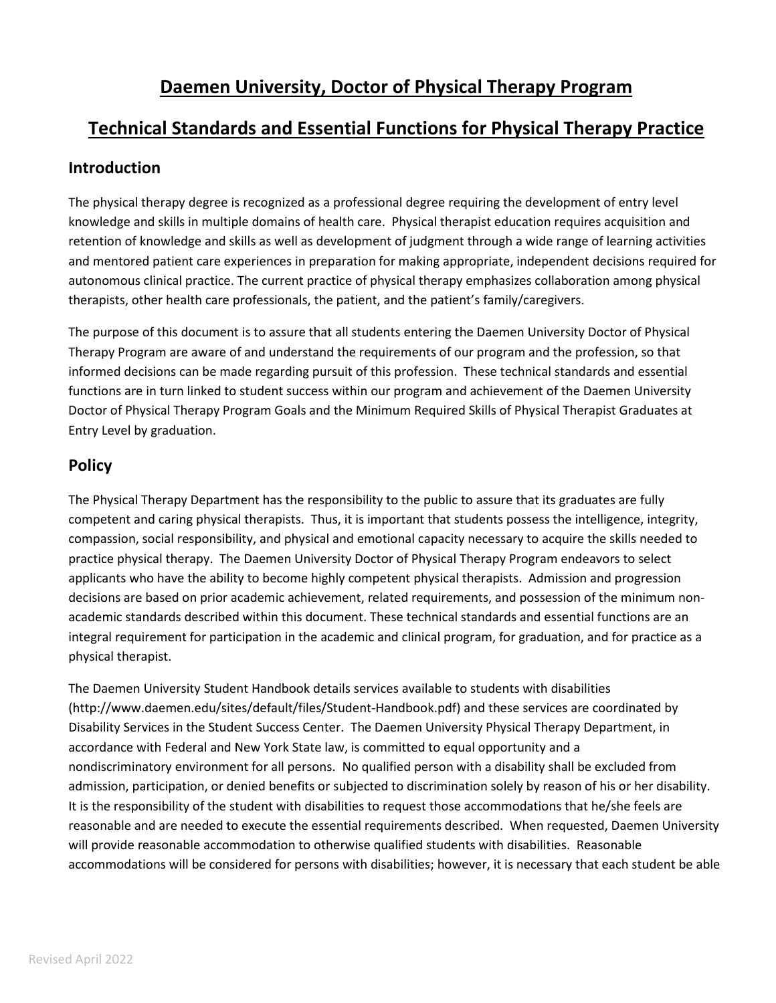# **Daemen University, Doctor of Physical Therapy Program**

### **Technical Standards and Essential Functions for Physical Therapy Practice**

#### **Introduction**

The physical therapy degree is recognized as a professional degree requiring the development of entry level knowledge and skills in multiple domains of health care. Physical therapist education requires acquisition and retention of knowledge and skills as well as development of judgment through a wide range of learning activities and mentored patient care experiences in preparation for making appropriate, independent decisions required for autonomous clinical practice. The current practice of physical therapy emphasizes collaboration among physical therapists, other health care professionals, the patient, and the patient's family/caregivers.

The purpose of this document is to assure that all students entering the Daemen University Doctor of Physical Therapy Program are aware of and understand the requirements of our program and the profession, so that informed decisions can be made regarding pursuit of this profession. These technical standards and essential functions are in turn linked to student success within our program and achievement of the Daemen University Doctor of Physical Therapy Program Goals and the Minimum Required Skills of Physical Therapist Graduates at Entry Level by graduation.

#### **Policy**

The Physical Therapy Department has the responsibility to the public to assure that its graduates are fully competent and caring physical therapists. Thus, it is important that students possess the intelligence, integrity, compassion, social responsibility, and physical and emotional capacity necessary to acquire the skills needed to practice physical therapy. The Daemen University Doctor of Physical Therapy Program endeavors to select applicants who have the ability to become highly competent physical therapists. Admission and progression decisions are based on prior academic achievement, related requirements, and possession of the minimum nonacademic standards described within this document. These technical standards and essential functions are an integral requirement for participation in the academic and clinical program, for graduation, and for practice as a physical therapist.

The Daemen University Student Handbook details services available to students with disabilities (http://www.daemen.edu/sites/default/files/Student-Handbook.pdf) and these services are coordinated by Disability Services in the Student Success Center. The Daemen University Physical Therapy Department, in accordance with Federal and New York State law, is committed to equal opportunity and a nondiscriminatory environment for all persons. No qualified person with a disability shall be excluded from admission, participation, or denied benefits or subjected to discrimination solely by reason of his or her disability. It is the responsibility of the student with disabilities to request those accommodations that he/she feels are reasonable and are needed to execute the essential requirements described. When requested, Daemen University will provide reasonable accommodation to otherwise qualified students with disabilities. Reasonable accommodations will be considered for persons with disabilities; however, it is necessary that each student be able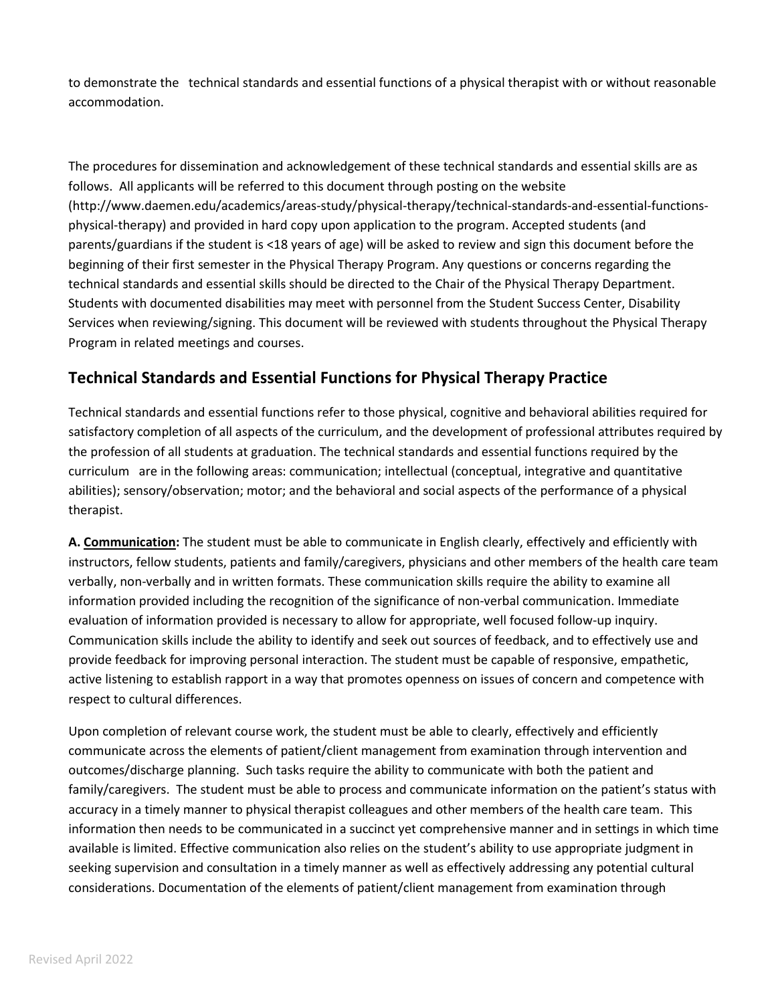to demonstrate the technical standards and essential functions of a physical therapist with or without reasonable accommodation.

The procedures for dissemination and acknowledgement of these technical standards and essential skills are as follows. All applicants will be referred to this document through posting on the website (http://www.daemen.edu/academics/areas-study/physical-therapy/technical-standards-and-essential-functionsphysical-therapy) and provided in hard copy upon application to the program. Accepted students (and parents/guardians if the student is <18 years of age) will be asked to review and sign this document before the beginning of their first semester in the Physical Therapy Program. Any questions or concerns regarding the technical standards and essential skills should be directed to the Chair of the Physical Therapy Department. Students with documented disabilities may meet with personnel from the Student Success Center, Disability Services when reviewing/signing. This document will be reviewed with students throughout the Physical Therapy Program in related meetings and courses.

#### **Technical Standards and Essential Functions for Physical Therapy Practice**

Technical standards and essential functions refer to those physical, cognitive and behavioral abilities required for satisfactory completion of all aspects of the curriculum, and the development of professional attributes required by the profession of all students at graduation. The technical standards and essential functions required by the curriculum are in the following areas: communication; intellectual (conceptual, integrative and quantitative abilities); sensory/observation; motor; and the behavioral and social aspects of the performance of a physical therapist.

**A. Communication:** The student must be able to communicate in English clearly, effectively and efficiently with instructors, fellow students, patients and family/caregivers, physicians and other members of the health care team verbally, non-verbally and in written formats. These communication skills require the ability to examine all information provided including the recognition of the significance of non-verbal communication. Immediate evaluation of information provided is necessary to allow for appropriate, well focused follow-up inquiry. Communication skills include the ability to identify and seek out sources of feedback, and to effectively use and provide feedback for improving personal interaction. The student must be capable of responsive, empathetic, active listening to establish rapport in a way that promotes openness on issues of concern and competence with respect to cultural differences.

Upon completion of relevant course work, the student must be able to clearly, effectively and efficiently communicate across the elements of patient/client management from examination through intervention and outcomes/discharge planning. Such tasks require the ability to communicate with both the patient and family/caregivers. The student must be able to process and communicate information on the patient's status with accuracy in a timely manner to physical therapist colleagues and other members of the health care team. This information then needs to be communicated in a succinct yet comprehensive manner and in settings in which time available is limited. Effective communication also relies on the student's ability to use appropriate judgment in seeking supervision and consultation in a timely manner as well as effectively addressing any potential cultural considerations. Documentation of the elements of patient/client management from examination through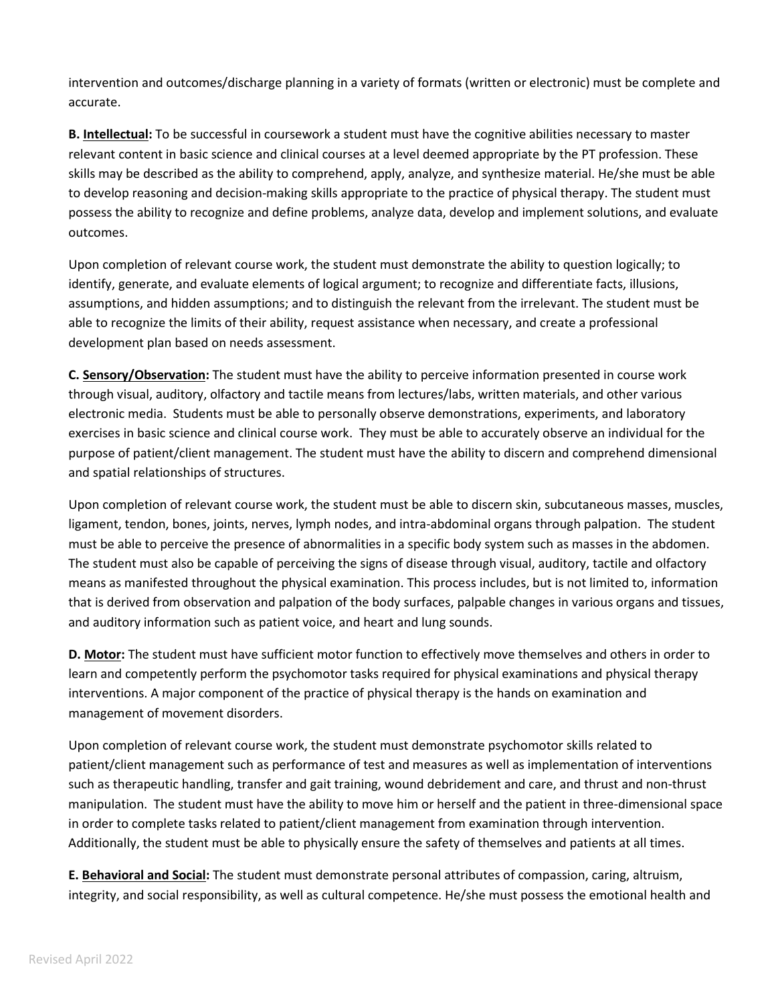intervention and outcomes/discharge planning in a variety of formats (written or electronic) must be complete and accurate.

**B. Intellectual:** To be successful in coursework a student must have the cognitive abilities necessary to master relevant content in basic science and clinical courses at a level deemed appropriate by the PT profession. These skills may be described as the ability to comprehend, apply, analyze, and synthesize material. He/she must be able to develop reasoning and decision-making skills appropriate to the practice of physical therapy. The student must possess the ability to recognize and define problems, analyze data, develop and implement solutions, and evaluate outcomes.

Upon completion of relevant course work, the student must demonstrate the ability to question logically; to identify, generate, and evaluate elements of logical argument; to recognize and differentiate facts, illusions, assumptions, and hidden assumptions; and to distinguish the relevant from the irrelevant. The student must be able to recognize the limits of their ability, request assistance when necessary, and create a professional development plan based on needs assessment.

**C. Sensory/Observation:** The student must have the ability to perceive information presented in course work through visual, auditory, olfactory and tactile means from lectures/labs, written materials, and other various electronic media. Students must be able to personally observe demonstrations, experiments, and laboratory exercises in basic science and clinical course work. They must be able to accurately observe an individual for the purpose of patient/client management. The student must have the ability to discern and comprehend dimensional and spatial relationships of structures.

Upon completion of relevant course work, the student must be able to discern skin, subcutaneous masses, muscles, ligament, tendon, bones, joints, nerves, lymph nodes, and intra-abdominal organs through palpation. The student must be able to perceive the presence of abnormalities in a specific body system such as masses in the abdomen. The student must also be capable of perceiving the signs of disease through visual, auditory, tactile and olfactory means as manifested throughout the physical examination. This process includes, but is not limited to, information that is derived from observation and palpation of the body surfaces, palpable changes in various organs and tissues, and auditory information such as patient voice, and heart and lung sounds.

**D. Motor:** The student must have sufficient motor function to effectively move themselves and others in order to learn and competently perform the psychomotor tasks required for physical examinations and physical therapy interventions. A major component of the practice of physical therapy is the hands on examination and management of movement disorders.

Upon completion of relevant course work, the student must demonstrate psychomotor skills related to patient/client management such as performance of test and measures as well as implementation of interventions such as therapeutic handling, transfer and gait training, wound debridement and care, and thrust and non-thrust manipulation. The student must have the ability to move him or herself and the patient in three-dimensional space in order to complete tasks related to patient/client management from examination through intervention. Additionally, the student must be able to physically ensure the safety of themselves and patients at all times.

**E. Behavioral and Social:** The student must demonstrate personal attributes of compassion, caring, altruism, integrity, and social responsibility, as well as cultural competence. He/she must possess the emotional health and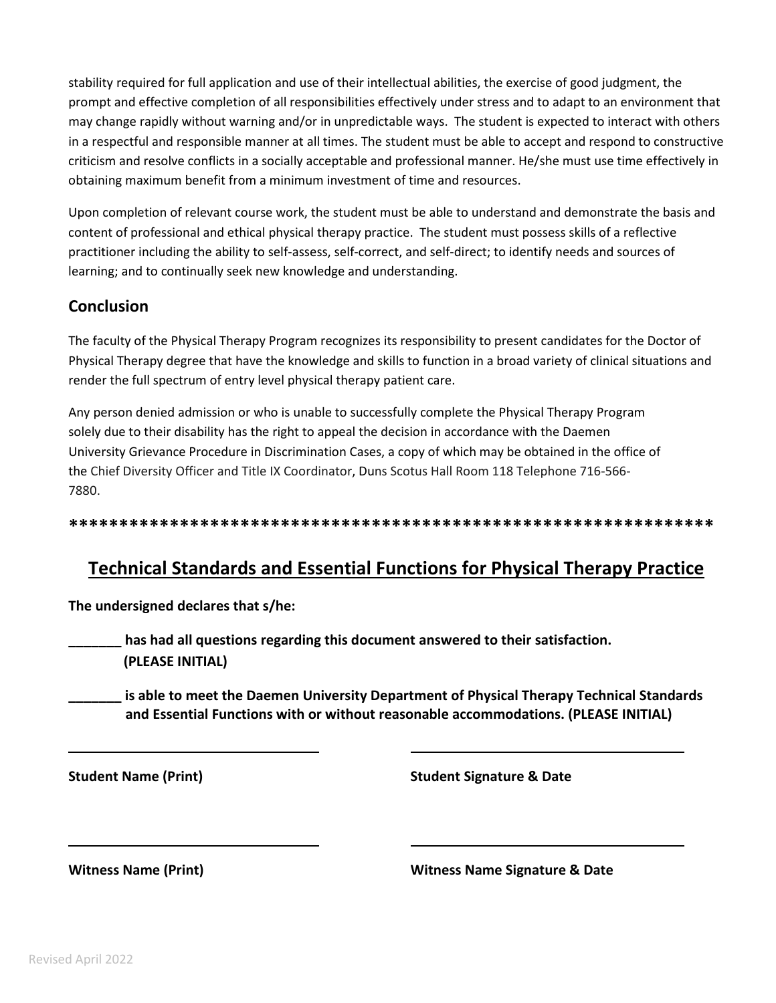stability required for full application and use of their intellectual abilities, the exercise of good judgment, the prompt and effective completion of all responsibilities effectively under stress and to adapt to an environment that may change rapidly without warning and/or in unpredictable ways. The student is expected to interact with others in a respectful and responsible manner at all times. The student must be able to accept and respond to constructive criticism and resolve conflicts in a socially acceptable and professional manner. He/she must use time effectively in obtaining maximum benefit from a minimum investment of time and resources.

Upon completion of relevant course work, the student must be able to understand and demonstrate the basis and content of professional and ethical physical therapy practice. The student must possess skills of a reflective practitioner including the ability to self-assess, self-correct, and self-direct; to identify needs and sources of learning; and to continually seek new knowledge and understanding.

#### **Conclusion**

The faculty of the Physical Therapy Program recognizes its responsibility to present candidates for the Doctor of Physical Therapy degree that have the knowledge and skills to function in a broad variety of clinical situations and render the full spectrum of entry level physical therapy patient care.

Any person denied admission or who is unable to successfully complete the Physical Therapy Program solely due to their disability has the right to appeal the decision in accordance with the Daemen University Grievance Procedure in Discrimination Cases, a copy of which may be obtained in the office of the Chief Diversity Officer and Title IX Coordinator, Duns Scotus Hall Room 118 Telephone 716-566- 7880.

**\*\*\*\*\*\*\*\*\*\*\*\*\*\*\*\*\*\*\*\*\*\*\*\*\*\*\*\*\*\*\*\*\*\*\*\*\*\*\*\*\*\*\*\*\*\*\*\*\*\*\*\*\*\*\*\*\*\*\*\*\*\*\*\***

# **Technical Standards and Essential Functions for Physical Therapy Practice**

**The undersigned declares that s/he:**

**\_\_\_\_\_\_\_ has had all questions regarding this document answered to their satisfaction. (PLEASE INITIAL)**

**\_\_\_\_\_\_\_ is able to meet the Daemen University Department of Physical Therapy Technical Standards and Essential Functions with or without reasonable accommodations. (PLEASE INITIAL)**

**Student Name (Print) Student Signature & Date**

**Witness Name (Print) Witness Name Signature & Date**